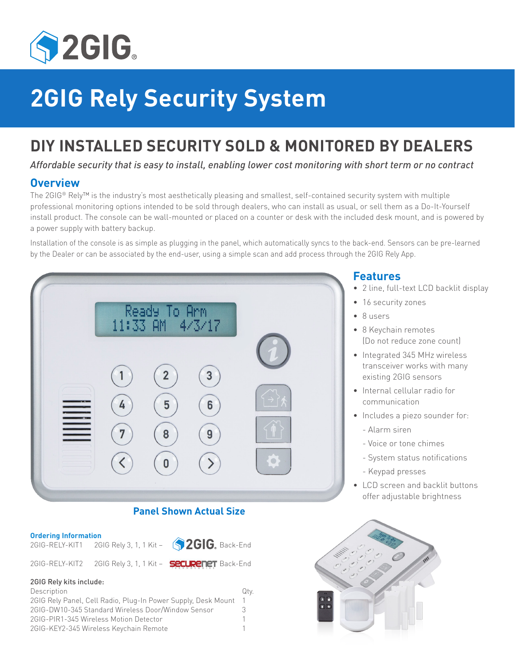

# **2GIG Rely Security System**

# **DIY INSTALLED SECURITY SOLD & MONITORED BY DEALERS**

*Affordable security that is easy to install, enabling lower cost monitoring with short term or no contract*

# **Overview**

The 2GIG® Rely™ is the industry's most aesthetically pleasing and smallest, self-contained security system with multiple professional monitoring options intended to be sold through dealers, who can install as usual, or sell them as a Do-It-Yourself install product. The console can be wall-mounted or placed on a counter or desk with the included desk mount, and is powered by a power supply with battery backup.

Installation of the console is as simple as plugging in the panel, which automatically syncs to the back-end. Sensors can be pre-learned by the Dealer or can be associated by the end-user, using a simple scan and add process through the 2GIG Rely App.



# **Panel Shown Actual Size**

|  | <b>Ordering Information</b> |  |
|--|-----------------------------|--|
|  |                             |  |

2GIG-RELY-KIT1 2GIG Rely 3, 1, 1 Kit -  $\left($  2GIG, Back-End 2GIG-RELY-KIT2 2GIG Rely 3, 1, 1 Kit - **Securency** Back-End

#### 2GIG Rely kits include:

| Description                                                   | Qty. |
|---------------------------------------------------------------|------|
| 2GIG Rely Panel, Cell Radio, Plug-In Power Supply, Desk Mount |      |
| 2GIG-DW10-345 Standard Wireless Door/Window Sensor            | 3    |
| 2GIG-PIR1-345 Wireless Motion Detector                        |      |
| 2GIG-KEY2-345 Wireless Keychain Remote                        |      |

# **Features**

- 2 line, full-text LCD backlit display
- 16 security zones
- 8 users
- 8 Keychain remotes (Do not reduce zone count)
- Integrated 345 MHz wireless transceiver works with many existing 2GIG sensors
- Internal cellular radio for communication
- Includes a piezo sounder for:
	- Alarm siren
	- Voice or tone chimes
	- System status notifications
	- Keypad presses
- LCD screen and backlit buttons offer adjustable brightness